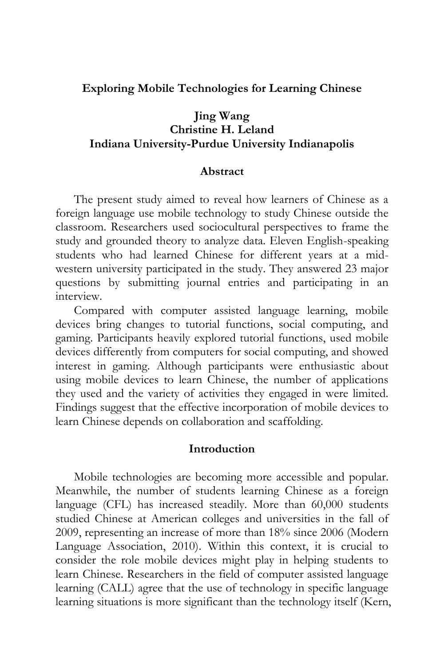#### **Exploring Mobile Technologies for Learning Chinese**

### **Jing Wang Christine H. Leland Indiana University-Purdue University Indianapolis**

#### **Abstract**

The present study aimed to reveal how learners of Chinese as a foreign language use mobile technology to study Chinese outside the classroom. Researchers used sociocultural perspectives to frame the study and grounded theory to analyze data. Eleven English-speaking students who had learned Chinese for different years at a midwestern university participated in the study. They answered 23 major questions by submitting journal entries and participating in an interview.

Compared with computer assisted language learning, mobile devices bring changes to tutorial functions, social computing, and gaming. Participants heavily explored tutorial functions, used mobile devices differently from computers for social computing, and showed interest in gaming. Although participants were enthusiastic about using mobile devices to learn Chinese, the number of applications they used and the variety of activities they engaged in were limited. Findings suggest that the effective incorporation of mobile devices to learn Chinese depends on collaboration and scaffolding.

#### **Introduction**

Mobile technologies are becoming more accessible and popular. Meanwhile, the number of students learning Chinese as a foreign language (CFL) has increased steadily. More than 60,000 students studied Chinese at American colleges and universities in the fall of 2009, representing an increase of more than 18% since 2006 (Modern Language Association, 2010). Within this context, it is crucial to consider the role mobile devices might play in helping students to learn Chinese. Researchers in the field of computer assisted language learning (CALL) agree that the use of technology in specific language learning situations is more significant than the technology itself (Kern,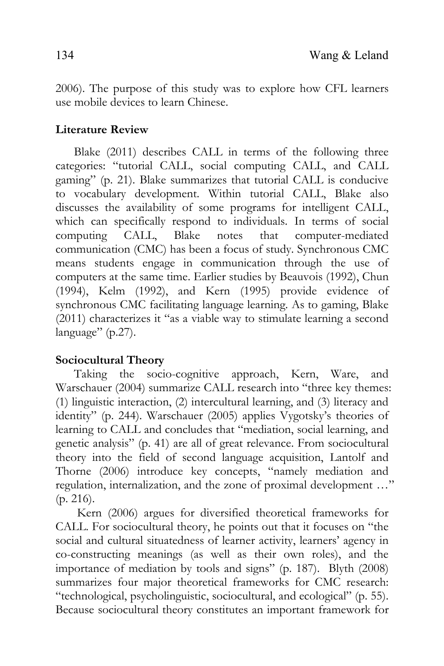2006). The purpose of this study was to explore how CFL learners use mobile devices to learn Chinese.

# **Literature Review**

Blake (2011) describes CALL in terms of the following three categories: "tutorial CALL, social computing CALL, and CALL gaming" (p. 21). Blake summarizes that tutorial CALL is conducive to vocabulary development. Within tutorial CALL, Blake also discusses the availability of some programs for intelligent CALL, which can specifically respond to individuals. In terms of social computing CALL, Blake notes that computer-mediated communication (CMC) has been a focus of study. Synchronous CMC means students engage in communication through the use of computers at the same time. Earlier studies by Beauvois (1992), Chun (1994), Kelm (1992), and Kern (1995) provide evidence of synchronous CMC facilitating language learning. As to gaming, Blake (2011) characterizes it "as a viable way to stimulate learning a second language" (p.27).

# **Sociocultural Theory**

Taking the socio-cognitive approach, Kern, Ware, and Warschauer (2004) summarize CALL research into "three key themes: (1) linguistic interaction, (2) intercultural learning, and (3) literacy and identity" (p. 244). Warschauer (2005) applies Vygotsky's theories of learning to CALL and concludes that "mediation, social learning, and genetic analysis" (p. 41) are all of great relevance. From sociocultural theory into the field of second language acquisition, Lantolf and Thorne (2006) introduce key concepts, "namely mediation and regulation, internalization, and the zone of proximal development …" (p. 216).

 Kern (2006) argues for diversified theoretical frameworks for CALL. For sociocultural theory, he points out that it focuses on "the social and cultural situatedness of learner activity, learners' agency in co-constructing meanings (as well as their own roles), and the importance of mediation by tools and signs" (p. 187). Blyth (2008) summarizes four major theoretical frameworks for CMC research: "technological, psycholinguistic, sociocultural, and ecological" (p. 55). Because sociocultural theory constitutes an important framework for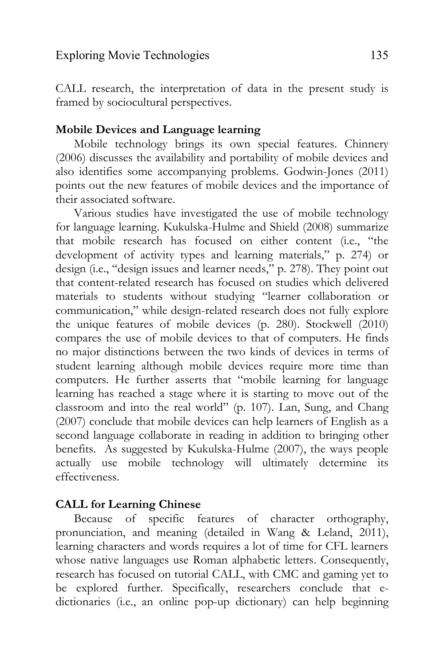CALL research, the interpretation of data in the present study is framed by sociocultural perspectives.

## **Mobile Devices and Language learning**

 Mobile technology brings its own special features. Chinnery (2006) discusses the availability and portability of mobile devices and also identifies some accompanying problems. Godwin-Jones (2011) points out the new features of mobile devices and the importance of their associated software.

Various studies have investigated the use of mobile technology for language learning. Kukulska-Hulme and Shield (2008) summarize that mobile research has focused on either content (i.e., "the development of activity types and learning materials," p. 274) or design (i.e., "design issues and learner needs," p. 278). They point out that content-related research has focused on studies which delivered materials to students without studying "learner collaboration or communication," while design-related research does not fully explore the unique features of mobile devices (p. 280). Stockwell (2010) compares the use of mobile devices to that of computers. He finds no major distinctions between the two kinds of devices in terms of student learning although mobile devices require more time than computers. He further asserts that "mobile learning for language learning has reached a stage where it is starting to move out of the classroom and into the real world" (p. 107). Lan, Sung, and Chang (2007) conclude that mobile devices can help learners of English as a second language collaborate in reading in addition to bringing other benefits. As suggested by Kukulska-Hulme (2007), the ways people actually use mobile technology will ultimately determine its effectiveness.

# **CALL for Learning Chinese**

Because of specific features of character orthography, pronunciation, and meaning (detailed in Wang & Leland, 2011), learning characters and words requires a lot of time for CFL learners whose native languages use Roman alphabetic letters. Consequently, research has focused on tutorial CALL, with CMC and gaming yet to be explored further. Specifically, researchers conclude that edictionaries (i.e., an online pop-up dictionary) can help beginning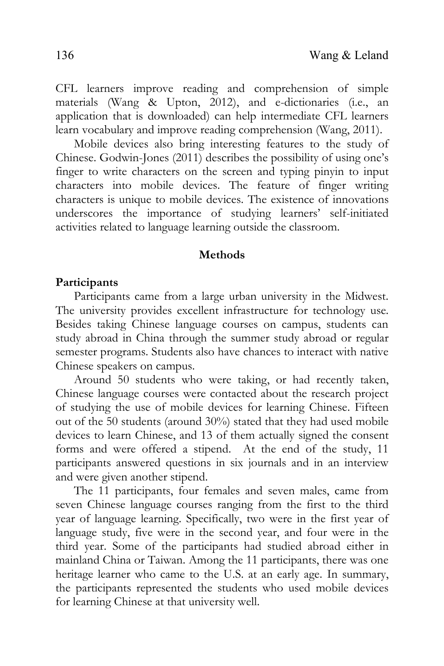CFL learners improve reading and comprehension of simple materials (Wang & Upton, 2012), and e-dictionaries (i.e., an application that is downloaded) can help intermediate CFL learners learn vocabulary and improve reading comprehension (Wang, 2011).

Mobile devices also bring interesting features to the study of Chinese. Godwin-Jones (2011) describes the possibility of using one's finger to write characters on the screen and typing pinyin to input characters into mobile devices. The feature of finger writing characters is unique to mobile devices. The existence of innovations underscores the importance of studying learners' self-initiated activities related to language learning outside the classroom.

### **Methods**

#### **Participants**

Participants came from a large urban university in the Midwest. The university provides excellent infrastructure for technology use. Besides taking Chinese language courses on campus, students can study abroad in China through the summer study abroad or regular semester programs. Students also have chances to interact with native Chinese speakers on campus.

 Around 50 students who were taking, or had recently taken, Chinese language courses were contacted about the research project of studying the use of mobile devices for learning Chinese. Fifteen out of the 50 students (around 30%) stated that they had used mobile devices to learn Chinese, and 13 of them actually signed the consent forms and were offered a stipend. At the end of the study, 11 participants answered questions in six journals and in an interview and were given another stipend.

 The 11 participants, four females and seven males, came from seven Chinese language courses ranging from the first to the third year of language learning. Specifically, two were in the first year of language study, five were in the second year, and four were in the third year. Some of the participants had studied abroad either in mainland China or Taiwan. Among the 11 participants, there was one heritage learner who came to the U.S. at an early age. In summary, the participants represented the students who used mobile devices for learning Chinese at that university well.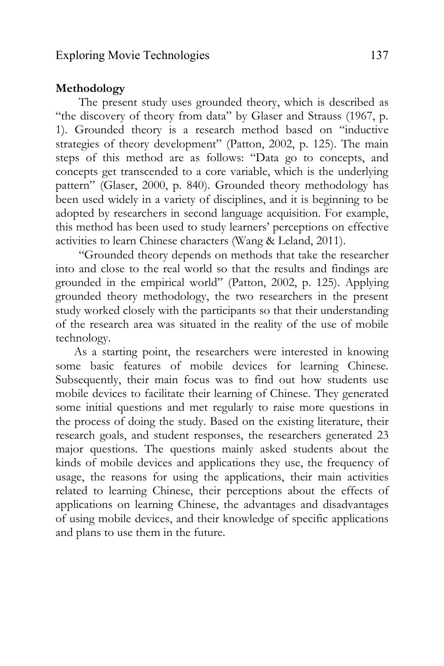### **Methodology**

 The present study uses grounded theory, which is described as "the discovery of theory from data" by Glaser and Strauss (1967, p. 1). Grounded theory is a research method based on "inductive strategies of theory development" (Patton, 2002, p. 125). The main steps of this method are as follows: "Data go to concepts, and concepts get transcended to a core variable, which is the underlying pattern" (Glaser, 2000, p. 840). Grounded theory methodology has been used widely in a variety of disciplines, and it is beginning to be adopted by researchers in second language acquisition. For example, this method has been used to study learners' perceptions on effective activities to learn Chinese characters (Wang & Leland, 2011).

"Grounded theory depends on methods that take the researcher into and close to the real world so that the results and findings are grounded in the empirical world" (Patton, 2002, p. 125). Applying grounded theory methodology, the two researchers in the present study worked closely with the participants so that their understanding of the research area was situated in the reality of the use of mobile technology.

As a starting point, the researchers were interested in knowing some basic features of mobile devices for learning Chinese. Subsequently, their main focus was to find out how students use mobile devices to facilitate their learning of Chinese. They generated some initial questions and met regularly to raise more questions in the process of doing the study. Based on the existing literature, their research goals, and student responses, the researchers generated 23 major questions. The questions mainly asked students about the kinds of mobile devices and applications they use, the frequency of usage, the reasons for using the applications, their main activities related to learning Chinese, their perceptions about the effects of applications on learning Chinese, the advantages and disadvantages of using mobile devices, and their knowledge of specific applications and plans to use them in the future.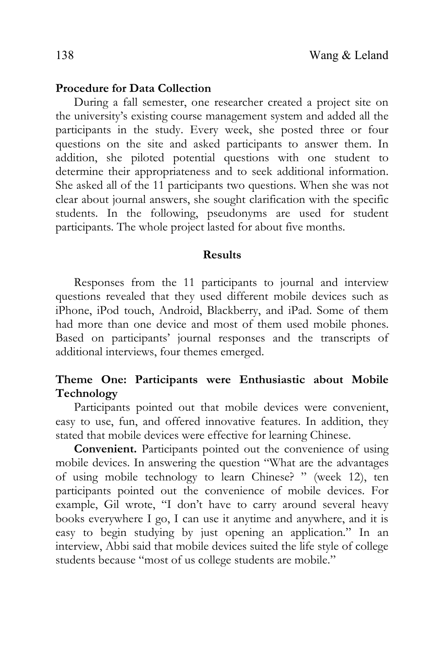#### **Procedure for Data Collection**

During a fall semester, one researcher created a project site on the university's existing course management system and added all the participants in the study. Every week, she posted three or four questions on the site and asked participants to answer them. In addition, she piloted potential questions with one student to determine their appropriateness and to seek additional information. She asked all of the 11 participants two questions. When she was not clear about journal answers, she sought clarification with the specific students. In the following, pseudonyms are used for student participants. The whole project lasted for about five months.

#### **Results**

Responses from the 11 participants to journal and interview questions revealed that they used different mobile devices such as iPhone, iPod touch, Android, Blackberry, and iPad. Some of them had more than one device and most of them used mobile phones. Based on participants' journal responses and the transcripts of additional interviews, four themes emerged.

## **Theme One: Participants were Enthusiastic about Mobile Technology**

Participants pointed out that mobile devices were convenient, easy to use, fun, and offered innovative features. In addition, they stated that mobile devices were effective for learning Chinese.

**Convenient.** Participants pointed out the convenience of using mobile devices. In answering the question "What are the advantages of using mobile technology to learn Chinese? " (week 12), ten participants pointed out the convenience of mobile devices. For example, Gil wrote, "I don't have to carry around several heavy books everywhere I go, I can use it anytime and anywhere, and it is easy to begin studying by just opening an application." In an interview, Abbi said that mobile devices suited the life style of college students because "most of us college students are mobile."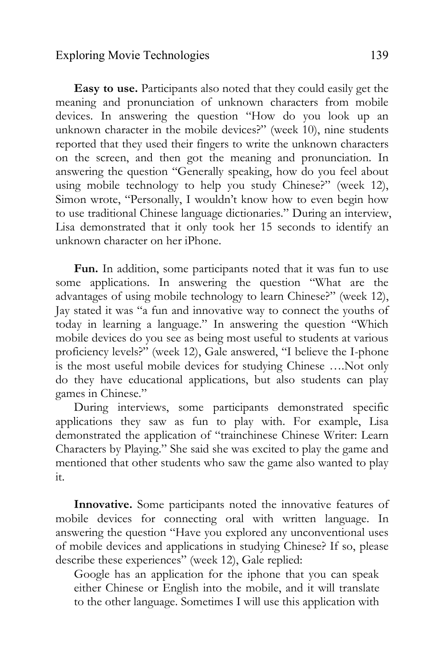### Exploring Movie Technologies 139

**Easy to use.** Participants also noted that they could easily get the meaning and pronunciation of unknown characters from mobile devices. In answering the question "How do you look up an unknown character in the mobile devices?" (week 10), nine students reported that they used their fingers to write the unknown characters on the screen, and then got the meaning and pronunciation. In answering the question "Generally speaking, how do you feel about using mobile technology to help you study Chinese?" (week 12), Simon wrote, "Personally, I wouldn't know how to even begin how to use traditional Chinese language dictionaries." During an interview, Lisa demonstrated that it only took her 15 seconds to identify an unknown character on her iPhone.

**Fun.** In addition, some participants noted that it was fun to use some applications. In answering the question "What are the advantages of using mobile technology to learn Chinese?" (week 12), Jay stated it was "a fun and innovative way to connect the youths of today in learning a language." In answering the question "Which mobile devices do you see as being most useful to students at various proficiency levels?" (week 12), Gale answered, "I believe the I-phone is the most useful mobile devices for studying Chinese ….Not only do they have educational applications, but also students can play games in Chinese."

During interviews, some participants demonstrated specific applications they saw as fun to play with. For example, Lisa demonstrated the application of "trainchinese Chinese Writer: Learn Characters by Playing." She said she was excited to play the game and mentioned that other students who saw the game also wanted to play it.

**Innovative.** Some participants noted the innovative features of mobile devices for connecting oral with written language. In answering the question "Have you explored any unconventional uses of mobile devices and applications in studying Chinese? If so, please describe these experiences" (week 12), Gale replied:

Google has an application for the iphone that you can speak either Chinese or English into the mobile, and it will translate to the other language. Sometimes I will use this application with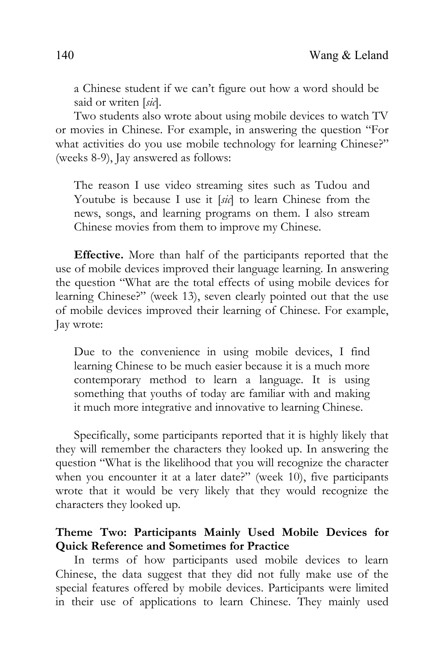a Chinese student if we can't figure out how a word should be said or writen [*sic*].

Two students also wrote about using mobile devices to watch TV or movies in Chinese. For example, in answering the question "For what activities do you use mobile technology for learning Chinese?" (weeks 8-9), Jay answered as follows:

The reason I use video streaming sites such as Tudou and Youtube is because I use it [*sic*] to learn Chinese from the news, songs, and learning programs on them. I also stream Chinese movies from them to improve my Chinese.

**Effective.** More than half of the participants reported that the use of mobile devices improved their language learning. In answering the question "What are the total effects of using mobile devices for learning Chinese?" (week 13), seven clearly pointed out that the use of mobile devices improved their learning of Chinese. For example, Jay wrote:

Due to the convenience in using mobile devices, I find learning Chinese to be much easier because it is a much more contemporary method to learn a language. It is using something that youths of today are familiar with and making it much more integrative and innovative to learning Chinese.

 Specifically, some participants reported that it is highly likely that they will remember the characters they looked up. In answering the question "What is the likelihood that you will recognize the character when you encounter it at a later date?" (week 10), five participants wrote that it would be very likely that they would recognize the characters they looked up.

# **Theme Two: Participants Mainly Used Mobile Devices for Quick Reference and Sometimes for Practice**

In terms of how participants used mobile devices to learn Chinese, the data suggest that they did not fully make use of the special features offered by mobile devices. Participants were limited in their use of applications to learn Chinese. They mainly used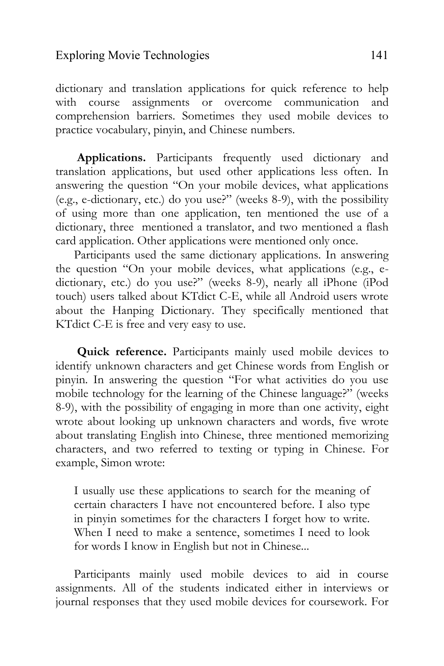dictionary and translation applications for quick reference to help with course assignments or overcome communication and comprehension barriers. Sometimes they used mobile devices to practice vocabulary, pinyin, and Chinese numbers.

 **Applications.** Participants frequently used dictionary and translation applications, but used other applications less often. In answering the question "On your mobile devices, what applications (e.g., e-dictionary, etc.) do you use?" (weeks 8-9), with the possibility of using more than one application, ten mentioned the use of a dictionary, three mentioned a translator, and two mentioned a flash card application. Other applications were mentioned only once.

Participants used the same dictionary applications. In answering the question "On your mobile devices, what applications (e.g., edictionary, etc.) do you use?" (weeks 8-9), nearly all iPhone (iPod touch) users talked about KTdict C-E, while all Android users wrote about the Hanping Dictionary. They specifically mentioned that KTdict C-E is free and very easy to use.

**Quick reference.** Participants mainly used mobile devices to identify unknown characters and get Chinese words from English or pinyin. In answering the question "For what activities do you use mobile technology for the learning of the Chinese language?" (weeks 8-9), with the possibility of engaging in more than one activity, eight wrote about looking up unknown characters and words, five wrote about translating English into Chinese, three mentioned memorizing characters, and two referred to texting or typing in Chinese. For example, Simon wrote:

I usually use these applications to search for the meaning of certain characters I have not encountered before. I also type in pinyin sometimes for the characters I forget how to write. When I need to make a sentence, sometimes I need to look for words I know in English but not in Chinese...

Participants mainly used mobile devices to aid in course assignments. All of the students indicated either in interviews or journal responses that they used mobile devices for coursework. For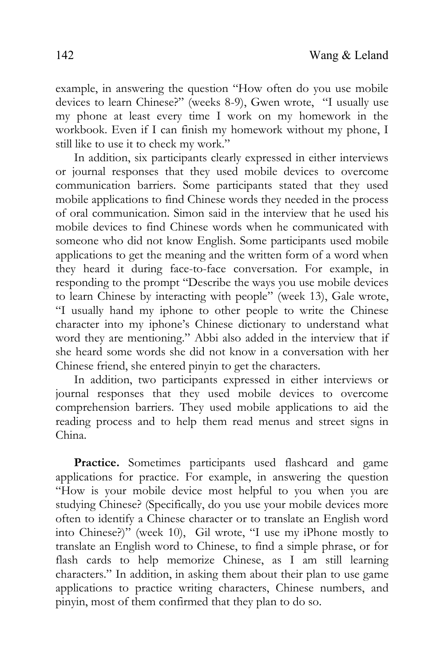example, in answering the question "How often do you use mobile devices to learn Chinese?" (weeks 8-9), Gwen wrote, "I usually use my phone at least every time I work on my homework in the workbook. Even if I can finish my homework without my phone, I still like to use it to check my work."

In addition, six participants clearly expressed in either interviews or journal responses that they used mobile devices to overcome communication barriers. Some participants stated that they used mobile applications to find Chinese words they needed in the process of oral communication. Simon said in the interview that he used his mobile devices to find Chinese words when he communicated with someone who did not know English. Some participants used mobile applications to get the meaning and the written form of a word when they heard it during face-to-face conversation. For example, in responding to the prompt "Describe the ways you use mobile devices to learn Chinese by interacting with people" (week 13), Gale wrote, "I usually hand my iphone to other people to write the Chinese character into my iphone's Chinese dictionary to understand what word they are mentioning." Abbi also added in the interview that if she heard some words she did not know in a conversation with her Chinese friend, she entered pinyin to get the characters.

In addition, two participants expressed in either interviews or journal responses that they used mobile devices to overcome comprehension barriers. They used mobile applications to aid the reading process and to help them read menus and street signs in China.

Practice. Sometimes participants used flashcard and game applications for practice. For example, in answering the question "How is your mobile device most helpful to you when you are studying Chinese? (Specifically, do you use your mobile devices more often to identify a Chinese character or to translate an English word into Chinese?)" (week 10), Gil wrote, "I use my iPhone mostly to translate an English word to Chinese, to find a simple phrase, or for flash cards to help memorize Chinese, as I am still learning characters." In addition, in asking them about their plan to use game applications to practice writing characters, Chinese numbers, and pinyin, most of them confirmed that they plan to do so.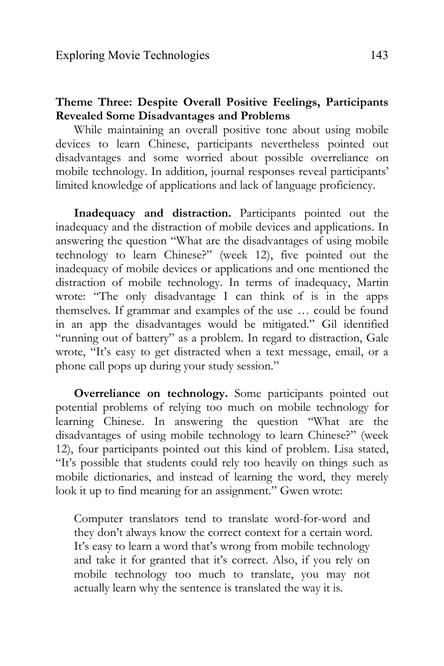# **Theme Three: Despite Overall Positive Feelings, Participants Revealed Some Disadvantages and Problems**

While maintaining an overall positive tone about using mobile devices to learn Chinese, participants nevertheless pointed out disadvantages and some worried about possible overreliance on mobile technology. In addition, journal responses reveal participants' limited knowledge of applications and lack of language proficiency.

**Inadequacy and distraction.** Participants pointed out the inadequacy and the distraction of mobile devices and applications. In answering the question "What are the disadvantages of using mobile technology to learn Chinese?" (week 12), five pointed out the inadequacy of mobile devices or applications and one mentioned the distraction of mobile technology. In terms of inadequacy, Martin wrote: "The only disadvantage I can think of is in the apps themselves. If grammar and examples of the use … could be found in an app the disadvantages would be mitigated." Gil identified "running out of battery" as a problem. In regard to distraction, Gale wrote, "It's easy to get distracted when a text message, email, or a phone call pops up during your study session."

**Overreliance on technology.** Some participants pointed out potential problems of relying too much on mobile technology for learning Chinese. In answering the question "What are the disadvantages of using mobile technology to learn Chinese?" (week 12), four participants pointed out this kind of problem. Lisa stated, "It's possible that students could rely too heavily on things such as mobile dictionaries, and instead of learning the word, they merely look it up to find meaning for an assignment." Gwen wrote:

Computer translators tend to translate word-for-word and they don't always know the correct context for a certain word. It's easy to learn a word that's wrong from mobile technology and take it for granted that it's correct. Also, if you rely on mobile technology too much to translate, you may not actually learn why the sentence is translated the way it is.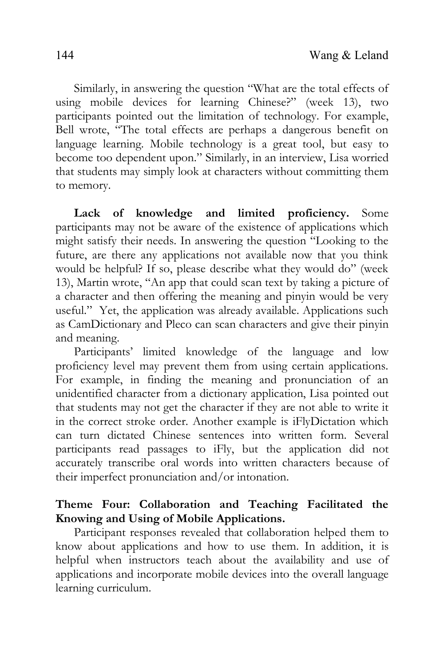Similarly, in answering the question "What are the total effects of using mobile devices for learning Chinese?" (week 13), two participants pointed out the limitation of technology. For example, Bell wrote, "The total effects are perhaps a dangerous benefit on language learning. Mobile technology is a great tool, but easy to become too dependent upon." Similarly, in an interview, Lisa worried that students may simply look at characters without committing them to memory.

**Lack of knowledge and limited proficiency.** Some participants may not be aware of the existence of applications which might satisfy their needs. In answering the question "Looking to the future, are there any applications not available now that you think would be helpful? If so, please describe what they would do" (week 13), Martin wrote, "An app that could scan text by taking a picture of a character and then offering the meaning and pinyin would be very useful." Yet, the application was already available. Applications such as CamDictionary and Pleco can scan characters and give their pinyin and meaning.

Participants' limited knowledge of the language and low proficiency level may prevent them from using certain applications. For example, in finding the meaning and pronunciation of an unidentified character from a dictionary application, Lisa pointed out that students may not get the character if they are not able to write it in the correct stroke order. Another example is iFlyDictation which can turn dictated Chinese sentences into written form. Several participants read passages to iFly, but the application did not accurately transcribe oral words into written characters because of their imperfect pronunciation and/or intonation.

# **Theme Four: Collaboration and Teaching Facilitated the Knowing and Using of Mobile Applications.**

 Participant responses revealed that collaboration helped them to know about applications and how to use them. In addition, it is helpful when instructors teach about the availability and use of applications and incorporate mobile devices into the overall language learning curriculum.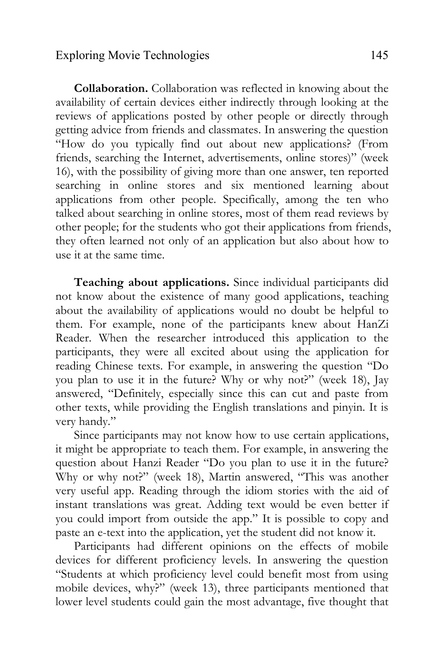### Exploring Movie Technologies 145

**Collaboration.** Collaboration was reflected in knowing about the availability of certain devices either indirectly through looking at the reviews of applications posted by other people or directly through getting advice from friends and classmates. In answering the question "How do you typically find out about new applications? (From friends, searching the Internet, advertisements, online stores)" (week 16), with the possibility of giving more than one answer, ten reported searching in online stores and six mentioned learning about applications from other people. Specifically, among the ten who talked about searching in online stores, most of them read reviews by other people; for the students who got their applications from friends, they often learned not only of an application but also about how to use it at the same time.

 **Teaching about applications.** Since individual participants did not know about the existence of many good applications, teaching about the availability of applications would no doubt be helpful to them. For example, none of the participants knew about HanZi Reader. When the researcher introduced this application to the participants, they were all excited about using the application for reading Chinese texts. For example, in answering the question "Do you plan to use it in the future? Why or why not?" (week 18), Jay answered, "Definitely, especially since this can cut and paste from other texts, while providing the English translations and pinyin. It is very handy."

 Since participants may not know how to use certain applications, it might be appropriate to teach them. For example, in answering the question about Hanzi Reader "Do you plan to use it in the future? Why or why not?" (week 18), Martin answered, "This was another very useful app. Reading through the idiom stories with the aid of instant translations was great. Adding text would be even better if you could import from outside the app." It is possible to copy and paste an e-text into the application, yet the student did not know it.

Participants had different opinions on the effects of mobile devices for different proficiency levels. In answering the question "Students at which proficiency level could benefit most from using mobile devices, why?" (week 13), three participants mentioned that lower level students could gain the most advantage, five thought that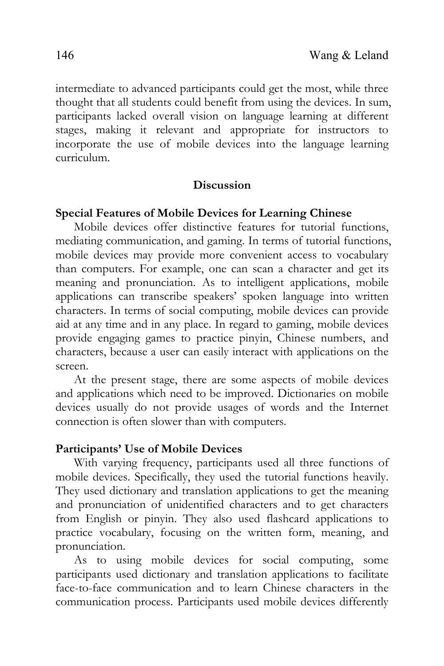intermediate to advanced participants could get the most, while three thought that all students could benefit from using the devices. In sum, participants lacked overall vision on language learning at different stages, making it relevant and appropriate for instructors to incorporate the use of mobile devices into the language learning curriculum.

### **Discussion**

### **Special Features of Mobile Devices for Learning Chinese**

 Mobile devices offer distinctive features for tutorial functions, mediating communication, and gaming. In terms of tutorial functions, mobile devices may provide more convenient access to vocabulary than computers. For example, one can scan a character and get its meaning and pronunciation. As to intelligent applications, mobile applications can transcribe speakers' spoken language into written characters. In terms of social computing, mobile devices can provide aid at any time and in any place. In regard to gaming, mobile devices provide engaging games to practice pinyin, Chinese numbers, and characters, because a user can easily interact with applications on the screen.

At the present stage, there are some aspects of mobile devices and applications which need to be improved. Dictionaries on mobile devices usually do not provide usages of words and the Internet connection is often slower than with computers.

#### **Participants' Use of Mobile Devices**

With varying frequency, participants used all three functions of mobile devices. Specifically, they used the tutorial functions heavily. They used dictionary and translation applications to get the meaning and pronunciation of unidentified characters and to get characters from English or pinyin. They also used flashcard applications to practice vocabulary, focusing on the written form, meaning, and pronunciation.

As to using mobile devices for social computing, some participants used dictionary and translation applications to facilitate face-to-face communication and to learn Chinese characters in the communication process. Participants used mobile devices differently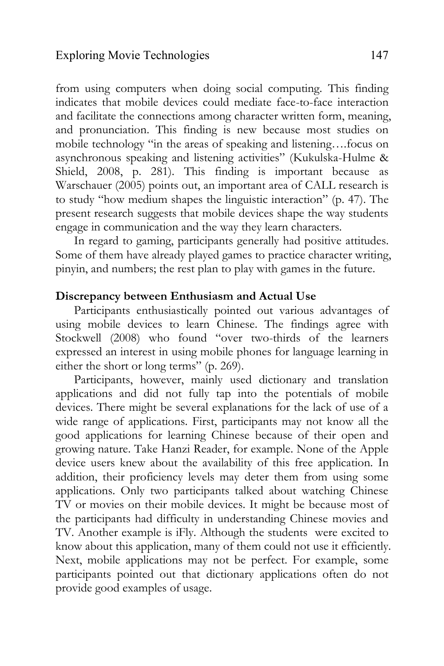from using computers when doing social computing. This finding indicates that mobile devices could mediate face-to-face interaction and facilitate the connections among character written form, meaning, and pronunciation. This finding is new because most studies on mobile technology "in the areas of speaking and listening….focus on asynchronous speaking and listening activities" (Kukulska-Hulme & Shield, 2008, p. 281). This finding is important because as Warschauer (2005) points out, an important area of CALL research is to study "how medium shapes the linguistic interaction" (p. 47). The present research suggests that mobile devices shape the way students engage in communication and the way they learn characters.

In regard to gaming, participants generally had positive attitudes. Some of them have already played games to practice character writing, pinyin, and numbers; the rest plan to play with games in the future.

### **Discrepancy between Enthusiasm and Actual Use**

Participants enthusiastically pointed out various advantages of using mobile devices to learn Chinese. The findings agree with Stockwell (2008) who found "over two-thirds of the learners expressed an interest in using mobile phones for language learning in either the short or long terms" (p. 269).

Participants, however, mainly used dictionary and translation applications and did not fully tap into the potentials of mobile devices. There might be several explanations for the lack of use of a wide range of applications. First, participants may not know all the good applications for learning Chinese because of their open and growing nature. Take Hanzi Reader, for example. None of the Apple device users knew about the availability of this free application. In addition, their proficiency levels may deter them from using some applications. Only two participants talked about watching Chinese TV or movies on their mobile devices. It might be because most of the participants had difficulty in understanding Chinese movies and TV. Another example is iFly. Although the students were excited to know about this application, many of them could not use it efficiently. Next, mobile applications may not be perfect. For example, some participants pointed out that dictionary applications often do not provide good examples of usage.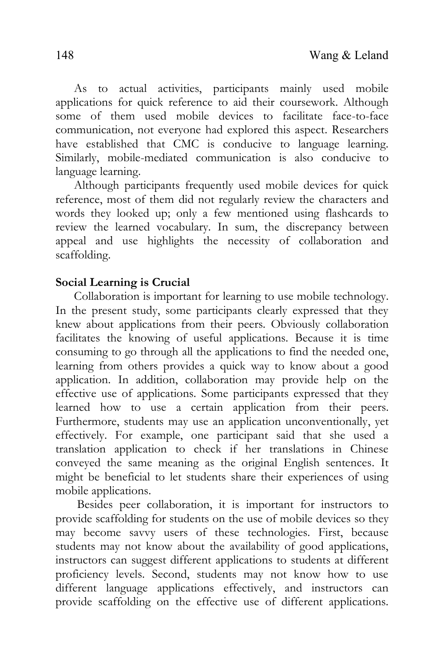As to actual activities, participants mainly used mobile applications for quick reference to aid their coursework. Although some of them used mobile devices to facilitate face-to-face communication, not everyone had explored this aspect. Researchers have established that CMC is conducive to language learning. Similarly, mobile-mediated communication is also conducive to language learning.

Although participants frequently used mobile devices for quick reference, most of them did not regularly review the characters and words they looked up; only a few mentioned using flashcards to review the learned vocabulary. In sum, the discrepancy between appeal and use highlights the necessity of collaboration and scaffolding.

## **Social Learning is Crucial**

 Collaboration is important for learning to use mobile technology. In the present study, some participants clearly expressed that they knew about applications from their peers. Obviously collaboration facilitates the knowing of useful applications. Because it is time consuming to go through all the applications to find the needed one, learning from others provides a quick way to know about a good application. In addition, collaboration may provide help on the effective use of applications. Some participants expressed that they learned how to use a certain application from their peers. Furthermore, students may use an application unconventionally, yet effectively. For example, one participant said that she used a translation application to check if her translations in Chinese conveyed the same meaning as the original English sentences. It might be beneficial to let students share their experiences of using mobile applications.

 Besides peer collaboration, it is important for instructors to provide scaffolding for students on the use of mobile devices so they may become savvy users of these technologies. First, because students may not know about the availability of good applications, instructors can suggest different applications to students at different proficiency levels. Second, students may not know how to use different language applications effectively, and instructors can provide scaffolding on the effective use of different applications.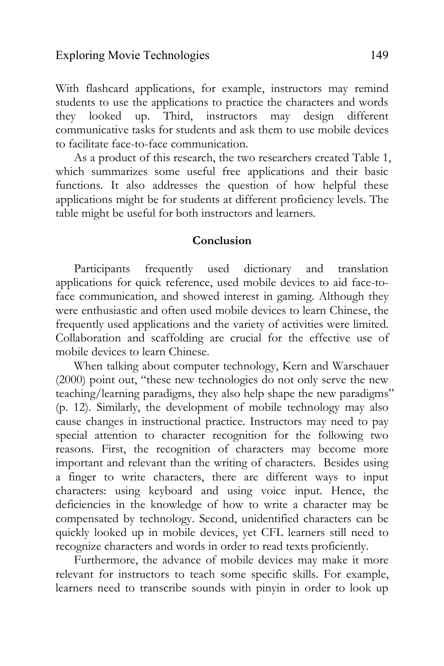With flashcard applications, for example, instructors may remind students to use the applications to practice the characters and words they looked up. Third, instructors may design different communicative tasks for students and ask them to use mobile devices to facilitate face-to-face communication.

As a product of this research, the two researchers created Table 1, which summarizes some useful free applications and their basic functions. It also addresses the question of how helpful these applications might be for students at different proficiency levels. The table might be useful for both instructors and learners.

#### **Conclusion**

Participants frequently used dictionary and translation applications for quick reference, used mobile devices to aid face-toface communication, and showed interest in gaming. Although they were enthusiastic and often used mobile devices to learn Chinese, the frequently used applications and the variety of activities were limited. Collaboration and scaffolding are crucial for the effective use of mobile devices to learn Chinese.

When talking about computer technology, Kern and Warschauer (2000) point out, "these new technologies do not only serve the new teaching/learning paradigms, they also help shape the new paradigms" (p. 12). Similarly, the development of mobile technology may also cause changes in instructional practice. Instructors may need to pay special attention to character recognition for the following two reasons. First, the recognition of characters may become more important and relevant than the writing of characters. Besides using a finger to write characters, there are different ways to input characters: using keyboard and using voice input. Hence, the deficiencies in the knowledge of how to write a character may be compensated by technology. Second, unidentified characters can be quickly looked up in mobile devices, yet CFL learners still need to recognize characters and words in order to read texts proficiently.

Furthermore, the advance of mobile devices may make it more relevant for instructors to teach some specific skills. For example, learners need to transcribe sounds with pinyin in order to look up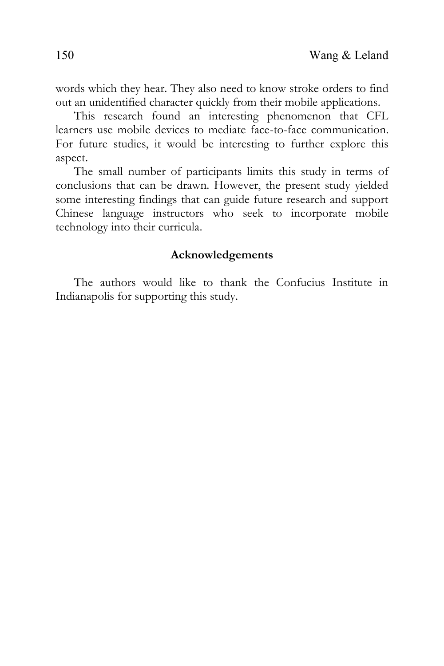This research found an interesting phenomenon that CFL learners use mobile devices to mediate face-to-face communication. For future studies, it would be interesting to further explore this aspect.

The small number of participants limits this study in terms of conclusions that can be drawn. However, the present study yielded some interesting findings that can guide future research and support Chinese language instructors who seek to incorporate mobile technology into their curricula.

## **Acknowledgements**

The authors would like to thank the Confucius Institute in Indianapolis for supporting this study.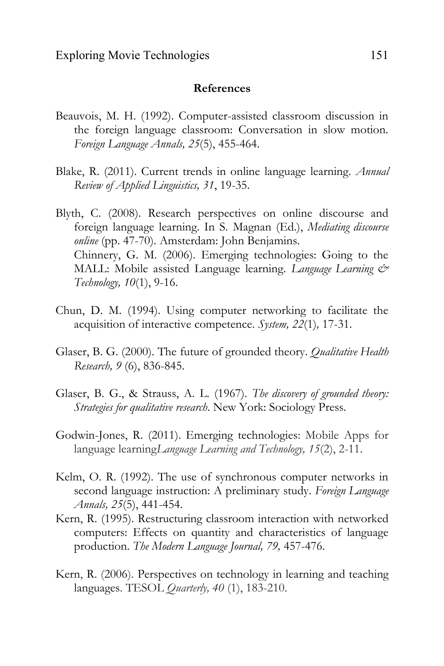#### **References**

- Beauvois, M. H. (1992). Computer-assisted classroom discussion in the foreign language classroom: Conversation in slow motion. *Foreign Language Annals, 25*(5), 455-464.
- Blake, R. (2011). Current trends in online language learning. *Annual Review of Applied Linguistics, 31*, 19-35.
- Blyth, C. (2008). Research perspectives on online discourse and foreign language learning. In S. Magnan (Ed.), *Mediating discourse online* (pp. 47-70). Amsterdam: John Benjamins. Chinnery, G. M. (2006). Emerging technologies: Going to the MALL: Mobile assisted Language learning. *Language Learning & Technology, 10*(1), 9-16.
- Chun, D. M. (1994). Using computer networking to facilitate the acquisition of interactive competence. *System, 22*(1)*,* 17-31.
- Glaser, B. G. (2000). The future of grounded theory. *Qualitative Health Research, 9* (6), 836-845.
- Glaser, B. G., & Strauss, A. L. (1967). *The discovery of grounded theory: Strategies for qualitative research*. New York: Sociology Press.
- Godwin-Jones, R. (2011). Emerging technologies: Mobile Apps for language learning*Language Learning and Technology, 15*(2), 2-11.
- Kelm, O. R. (1992). The use of synchronous computer networks in second language instruction: A preliminary study. *Foreign Language Annals, 25*(5), 441-454.
- Kern, R. (1995). Restructuring classroom interaction with networked computers: Effects on quantity and characteristics of language production. *The Modern Language Journal, 79,* 457-476.
- Kern, R. (2006). Perspectives on technology in learning and teaching languages. TESOL *Quarterly, 40* (1), 183-210.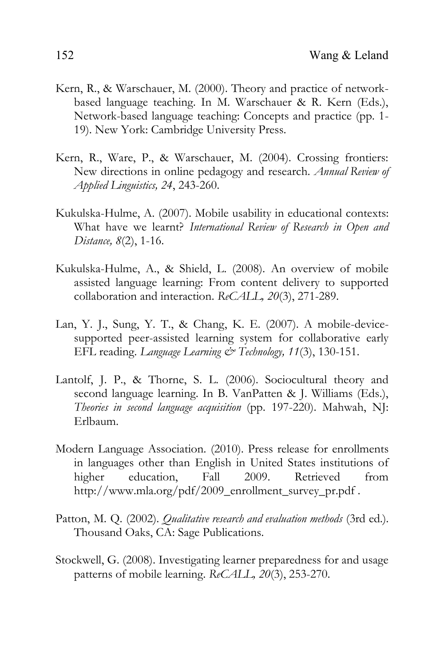- Kern, R., & Warschauer, M. (2000). Theory and practice of networkbased language teaching. In M. Warschauer & R. Kern (Eds.), Network-based language teaching: Concepts and practice (pp. 1- 19). New York: Cambridge University Press.
- Kern, R., Ware, P., & Warschauer, M. (2004). Crossing frontiers: New directions in online pedagogy and research. *Annual Review of Applied Linguistics, 24*, 243-260.
- Kukulska-Hulme, A. (2007). Mobile usability in educational contexts: What have we learnt? *International Review of Research in Open and Distance, 8*(2), 1-16.
- Kukulska-Hulme, A., & Shield, L. (2008). An overview of mobile assisted language learning: From content delivery to supported collaboration and interaction. *ReCALL, 20*(3), 271-289.
- Lan, Y. J., Sung, Y. T., & Chang, K. E. (2007). A mobile-devicesupported peer-assisted learning system for collaborative early EFL reading. *Language Learning & Technology, 11*(3), 130-151.
- Lantolf, J. P., & Thorne, S. L. (2006). Sociocultural theory and second language learning. In B. VanPatten & J. Williams (Eds.), *Theories in second language acquisition* (pp. 197-220). Mahwah, NJ: Erlbaum.
- Modern Language Association. (2010). Press release for enrollments in languages other than English in United States institutions of higher education, Fall 2009. Retrieved from http://www.mla.org/pdf/2009\_enrollment\_survey\_pr.pdf .
- Patton, M. Q. (2002). *Qualitative research and evaluation methods* (3rd ed.). Thousand Oaks, CA: Sage Publications.
- Stockwell, G. (2008). Investigating learner preparedness for and usage patterns of mobile learning. *ReCALL, 20*(3), 253-270.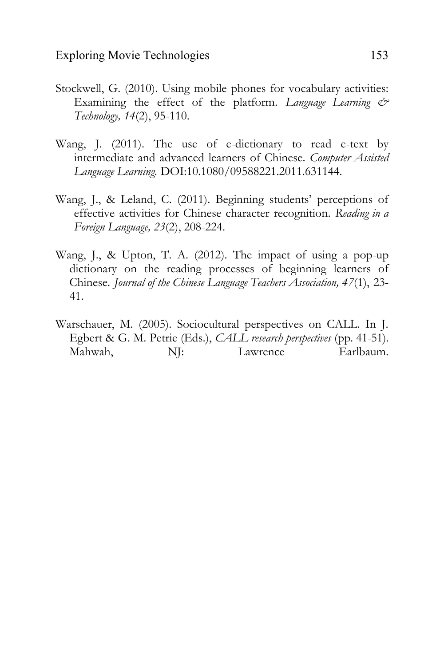- Stockwell, G. (2010). Using mobile phones for vocabulary activities: Examining the effect of the platform. *Language Learning & Technology, 14*(2), 95-110.
- Wang, J. (2011). The use of e-dictionary to read e-text by intermediate and advanced learners of Chinese. *Computer Assisted Language Learning.* DOI:10.1080/09588221.2011.631144.
- Wang, J., & Leland, C. (2011). Beginning students' perceptions of effective activities for Chinese character recognition. *Reading in a Foreign Language, 23*(2), 208-224.
- Wang, J., & Upton, T. A. (2012). The impact of using a pop-up dictionary on the reading processes of beginning learners of Chinese. *Journal of the Chinese Language Teachers Association, 47*(1), 23- 41.
- Warschauer, M. (2005). Sociocultural perspectives on CALL. In J. Egbert & G. M. Petrie (Eds.), *CALL research perspectives* (pp. 41-51). Mahwah,  $N$ : Lawrence Earlbaum.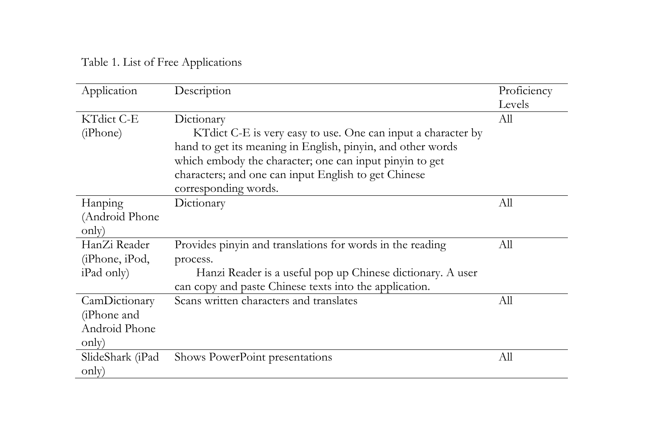Table 1. List of Free Applications

| Application                                            | Description                                                                                                                                                                                                                                                                           | Proficiency<br>Levels |
|--------------------------------------------------------|---------------------------------------------------------------------------------------------------------------------------------------------------------------------------------------------------------------------------------------------------------------------------------------|-----------------------|
| KTdict C-E<br>(iPhone)                                 | Dictionary<br>KT dict C-E is very easy to use. One can input a character by<br>hand to get its meaning in English, pinyin, and other words<br>which embody the character; one can input pinyin to get<br>characters; and one can input English to get Chinese<br>corresponding words. | All                   |
| Hanping<br>(Android Phone<br>only)                     | Dictionary                                                                                                                                                                                                                                                                            | All                   |
| HanZi Reader<br>(iPhone, iPod,<br>iPad only)           | Provides pinyin and translations for words in the reading<br>process.<br>Hanzi Reader is a useful pop up Chinese dictionary. A user<br>can copy and paste Chinese texts into the application.                                                                                         | All                   |
| CamDictionary<br>(iPhone and<br>Android Phone<br>only) | Scans written characters and translates                                                                                                                                                                                                                                               | All                   |
| SlideShark (iPad<br>only)                              | Shows PowerPoint presentations                                                                                                                                                                                                                                                        | All                   |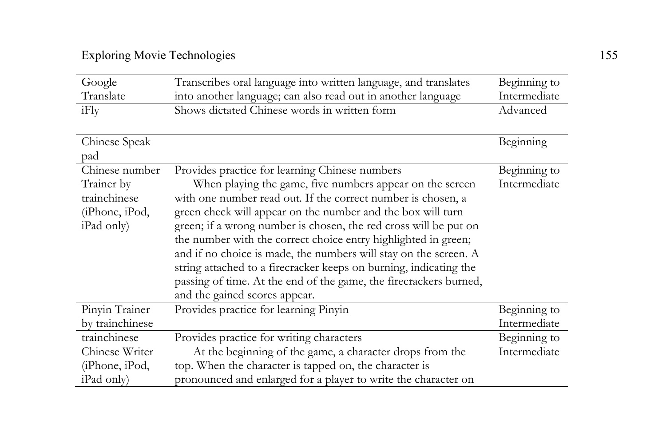| Google          | Transcribes oral language into written language, and translates   | Beginning to |
|-----------------|-------------------------------------------------------------------|--------------|
| Translate       | into another language; can also read out in another language      | Intermediate |
| iFly            | Shows dictated Chinese words in written form                      | Advanced     |
|                 |                                                                   |              |
| Chinese Speak   |                                                                   | Beginning    |
| pad             |                                                                   |              |
| Chinese number  | Provides practice for learning Chinese numbers                    | Beginning to |
| Trainer by      | When playing the game, five numbers appear on the screen          | Intermediate |
| trainchinese    | with one number read out. If the correct number is chosen, a      |              |
| (iPhone, iPod,  | green check will appear on the number and the box will turn       |              |
| iPad only)      | green; if a wrong number is chosen, the red cross will be put on  |              |
|                 | the number with the correct choice entry highlighted in green;    |              |
|                 | and if no choice is made, the numbers will stay on the screen. A  |              |
|                 | string attached to a firecracker keeps on burning, indicating the |              |
|                 | passing of time. At the end of the game, the firecrackers burned, |              |
|                 | and the gained scores appear.                                     |              |
| Pinyin Trainer  | Provides practice for learning Pinyin                             | Beginning to |
| by trainchinese |                                                                   | Intermediate |
| trainchinese    | Provides practice for writing characters                          | Beginning to |
| Chinese Writer  | At the beginning of the game, a character drops from the          | Intermediate |
| (iPhone, iPod,  | top. When the character is tapped on, the character is            |              |
| iPad only)      | pronounced and enlarged for a player to write the character on    |              |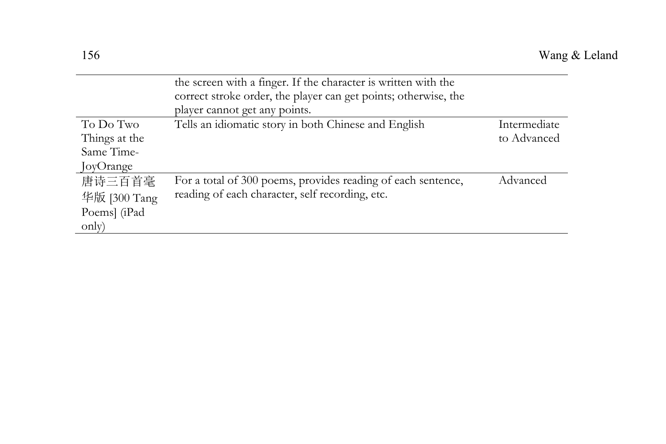|               | the screen with a finger. If the character is written with the<br>correct stroke order, the player can get points; otherwise, the |              |
|---------------|-----------------------------------------------------------------------------------------------------------------------------------|--------------|
|               | player cannot get any points.                                                                                                     |              |
| To Do Two     | Tells an idiomatic story in both Chinese and English                                                                              | Intermediate |
| Things at the |                                                                                                                                   | to Advanced  |
| Same Time-    |                                                                                                                                   |              |
| JoyOrange     |                                                                                                                                   |              |
| 唐诗三百首毫        | For a total of 300 poems, provides reading of each sentence,                                                                      | Advanced     |
| 华版 [300 Tang] | reading of each character, self recording, etc.                                                                                   |              |
| Poems] (iPad  |                                                                                                                                   |              |
| only)         |                                                                                                                                   |              |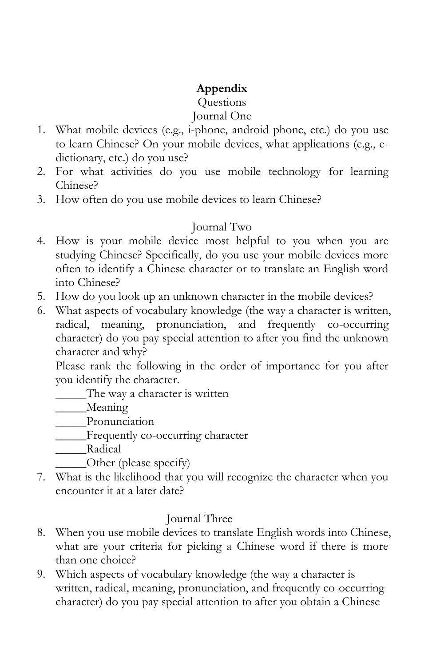# **Appendix**

# **Ouestions**

## Journal One

- 1. What mobile devices (e.g., i-phone, android phone, etc.) do you use to learn Chinese? On your mobile devices, what applications (e.g., edictionary, etc.) do you use?
- 2. For what activities do you use mobile technology for learning Chinese?
- 3. How often do you use mobile devices to learn Chinese?

# Journal Two

- 4. How is your mobile device most helpful to you when you are studying Chinese? Specifically, do you use your mobile devices more often to identify a Chinese character or to translate an English word into Chinese?
- 5. How do you look up an unknown character in the mobile devices?
- 6. What aspects of vocabulary knowledge (the way a character is written, radical, meaning, pronunciation, and frequently co-occurring character) do you pay special attention to after you find the unknown character and why?

Please rank the following in the order of importance for you after you identify the character.

\_\_\_\_\_The way a character is written

Meaning

\_\_\_\_\_Pronunciation

\_\_\_\_\_Frequently co-occurring character

\_\_\_\_\_Radical

- Other (please specify)
- 7. What is the likelihood that you will recognize the character when you encounter it at a later date?

# Journal Three

- 8. When you use mobile devices to translate English words into Chinese, what are your criteria for picking a Chinese word if there is more than one choice?
- 9. Which aspects of vocabulary knowledge (the way a character is written, radical, meaning, pronunciation, and frequently co-occurring character) do you pay special attention to after you obtain a Chinese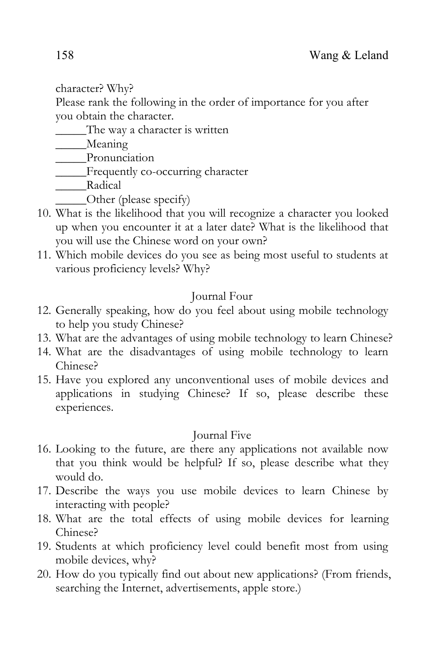character? Why?

Please rank the following in the order of importance for you after you obtain the character.

The way a character is written

\_\_\_\_Meaning

\_\_\_\_\_Pronunciation

\_\_\_\_\_Frequently co-occurring character

Radical

- Other (please specify)
- 10. What is the likelihood that you will recognize a character you looked up when you encounter it at a later date? What is the likelihood that you will use the Chinese word on your own?
- 11. Which mobile devices do you see as being most useful to students at various proficiency levels? Why?

# Journal Four

- 12. Generally speaking, how do you feel about using mobile technology to help you study Chinese?
- 13. What are the advantages of using mobile technology to learn Chinese?
- 14. What are the disadvantages of using mobile technology to learn Chinese?
- 15. Have you explored any unconventional uses of mobile devices and applications in studying Chinese? If so, please describe these experiences.

# Journal Five

- 16. Looking to the future, are there any applications not available now that you think would be helpful? If so, please describe what they would do.
- 17. Describe the ways you use mobile devices to learn Chinese by interacting with people?
- 18. What are the total effects of using mobile devices for learning Chinese?
- 19. Students at which proficiency level could benefit most from using mobile devices, why?
- 20. How do you typically find out about new applications? (From friends, searching the Internet, advertisements, apple store.)